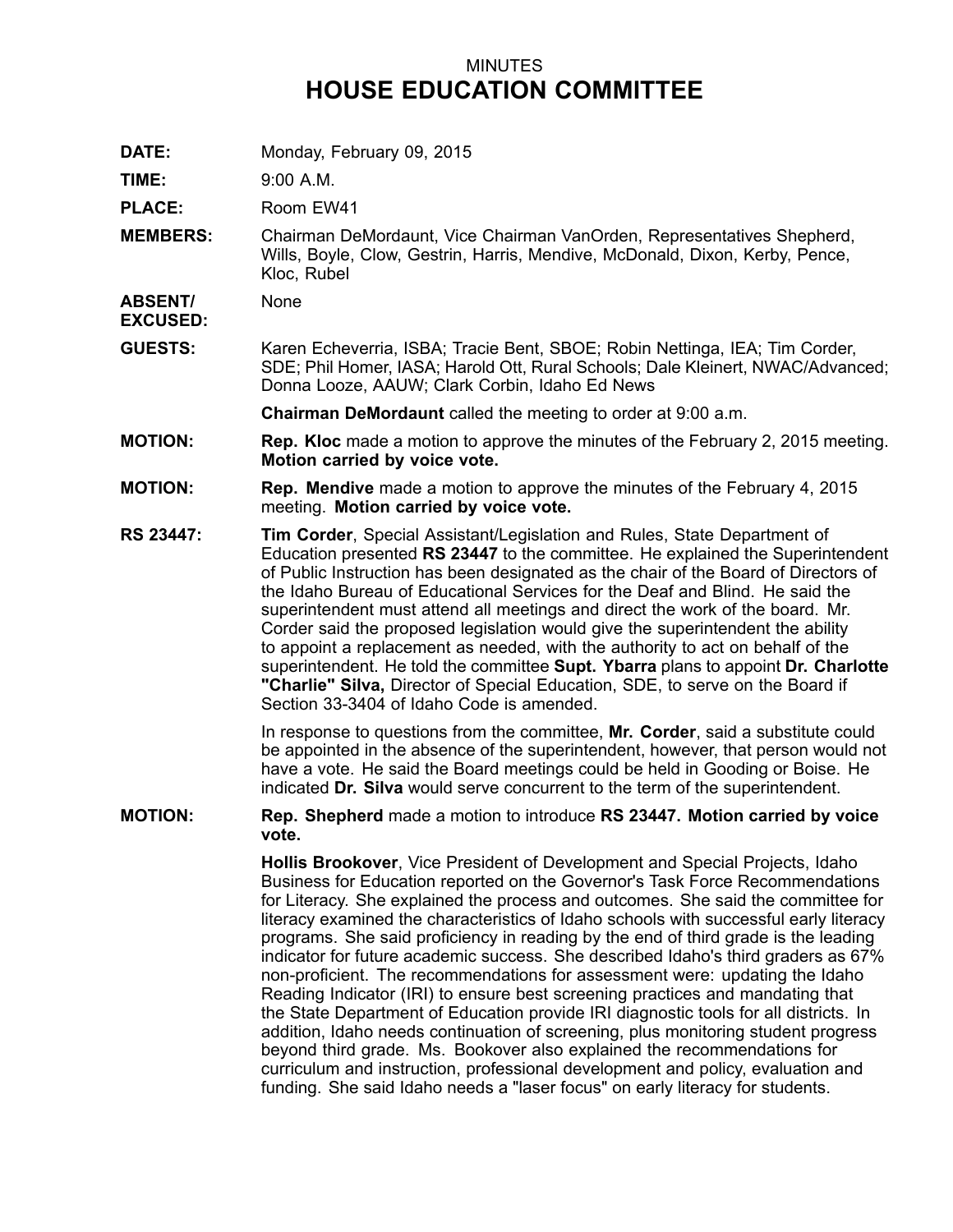## MINUTES **HOUSE EDUCATION COMMITTEE**

**DATE:** Monday, February 09, 2015

**TIME:** 9:00 A.M.

PLACE: Room EW41

**MEMBERS:** Chairman DeMordaunt, Vice Chairman VanOrden, Representatives Shepherd, Wills, Boyle, Clow, Gestrin, Harris, Mendive, McDonald, Dixon, Kerby, Pence, Kloc, Rubel

**ABSENT/** None

**EXCUSED:**

**GUESTS:** Karen Echeverria, ISBA; Tracie Bent, SBOE; Robin Nettinga, IEA; Tim Corder, SDE; Phil Homer, IASA; Harold Ott, Rural Schools; Dale Kleinert, NWAC/Advanced; Donna Looze, AAUW; Clark Corbin, Idaho Ed News

**Chairman DeMordaunt** called the meeting to order at 9:00 a.m.

- **MOTION: Rep. Kloc** made <sup>a</sup> motion to approve the minutes of the February 2, 2015 meeting. **Motion carried by voice vote.**
- **MOTION: Rep. Mendive** made <sup>a</sup> motion to approve the minutes of the February 4, 2015 meeting. **Motion carried by voice vote.**
- **RS 23447: Tim Corder**, Special Assistant/Legislation and Rules, State Department of Education presented **RS 23447** to the committee. He explained the Superintendent of Public Instruction has been designated as the chair of the Board of Directors of the Idaho Bureau of Educational Services for the Deaf and Blind. He said the superintendent must attend all meetings and direct the work of the board. Mr. Corder said the proposed legislation would give the superintendent the ability to appoint <sup>a</sup> replacement as needed, with the authority to act on behalf of the superintendent. He told the committee **Supt. Ybarra** plans to appoint **Dr. Charlotte "Charlie" Silva,** Director of Special Education, SDE, to serve on the Board if Section 33-3404 of Idaho Code is amended.

In response to questions from the committee, **Mr. Corder**, said <sup>a</sup> substitute could be appointed in the absence of the superintendent, however, that person would not have <sup>a</sup> vote. He said the Board meetings could be held in Gooding or Boise. He indicated **Dr. Silva** would serve concurrent to the term of the superintendent.

**MOTION: Rep. Shepherd** made <sup>a</sup> motion to introduce **RS 23447. Motion carried by voice vote.**

> **Hollis Brookover**, Vice President of Development and Special Projects, Idaho Business for Education reported on the Governor's Task Force Recommendations for Literacy. She explained the process and outcomes. She said the committee for literacy examined the characteristics of Idaho schools with successful early literacy programs. She said proficiency in reading by the end of third grade is the leading indicator for future academic success. She described Idaho's third graders as 67% non-proficient. The recommendations for assessment were: updating the Idaho Reading Indicator (IRI) to ensure best screening practices and mandating that the State Department of Education provide IRI diagnostic tools for all districts. In addition, Idaho needs continuation of screening, plus monitoring student progress beyond third grade. Ms. Bookover also explained the recommendations for curriculum and instruction, professional development and policy, evaluation and funding. She said Idaho needs <sup>a</sup> "laser focus" on early literacy for students.